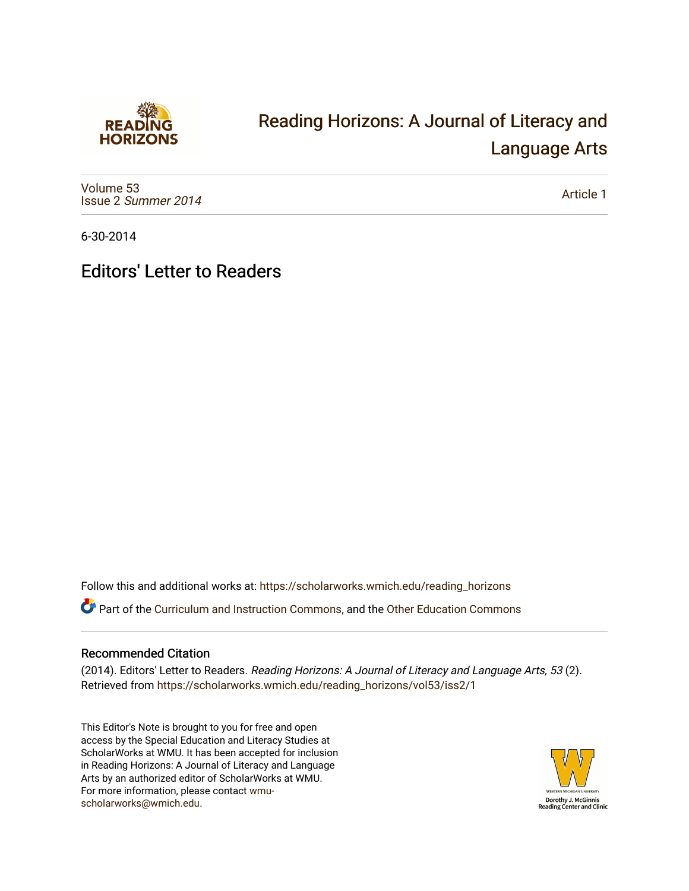

## [Reading Horizons: A Journal of Literacy and](https://scholarworks.wmich.edu/reading_horizons)  [Language Arts](https://scholarworks.wmich.edu/reading_horizons)

[Volume 53](https://scholarworks.wmich.edu/reading_horizons/vol53) Issue 2 [Summer 2014](https://scholarworks.wmich.edu/reading_horizons/vol53/iss2) 

[Article 1](https://scholarworks.wmich.edu/reading_horizons/vol53/iss2/1) 

6-30-2014

## Editors' Letter to Readers

Follow this and additional works at: [https://scholarworks.wmich.edu/reading\\_horizons](https://scholarworks.wmich.edu/reading_horizons?utm_source=scholarworks.wmich.edu%2Freading_horizons%2Fvol53%2Fiss2%2F1&utm_medium=PDF&utm_campaign=PDFCoverPages)

Part of the [Curriculum and Instruction Commons,](http://network.bepress.com/hgg/discipline/786?utm_source=scholarworks.wmich.edu%2Freading_horizons%2Fvol53%2Fiss2%2F1&utm_medium=PDF&utm_campaign=PDFCoverPages) and the [Other Education Commons](http://network.bepress.com/hgg/discipline/811?utm_source=scholarworks.wmich.edu%2Freading_horizons%2Fvol53%2Fiss2%2F1&utm_medium=PDF&utm_campaign=PDFCoverPages) 

## Recommended Citation

(2014). Editors' Letter to Readers. Reading Horizons: A Journal of Literacy and Language Arts, 53 (2). Retrieved from [https://scholarworks.wmich.edu/reading\\_horizons/vol53/iss2/1](https://scholarworks.wmich.edu/reading_horizons/vol53/iss2/1?utm_source=scholarworks.wmich.edu%2Freading_horizons%2Fvol53%2Fiss2%2F1&utm_medium=PDF&utm_campaign=PDFCoverPages) 

This Editor's Note is brought to you for free and open access by the Special Education and Literacy Studies at ScholarWorks at WMU. It has been accepted for inclusion in Reading Horizons: A Journal of Literacy and Language Arts by an authorized editor of ScholarWorks at WMU. For more information, please contact [wmu](mailto:wmu-scholarworks@wmich.edu)[scholarworks@wmich.edu.](mailto:wmu-scholarworks@wmich.edu)

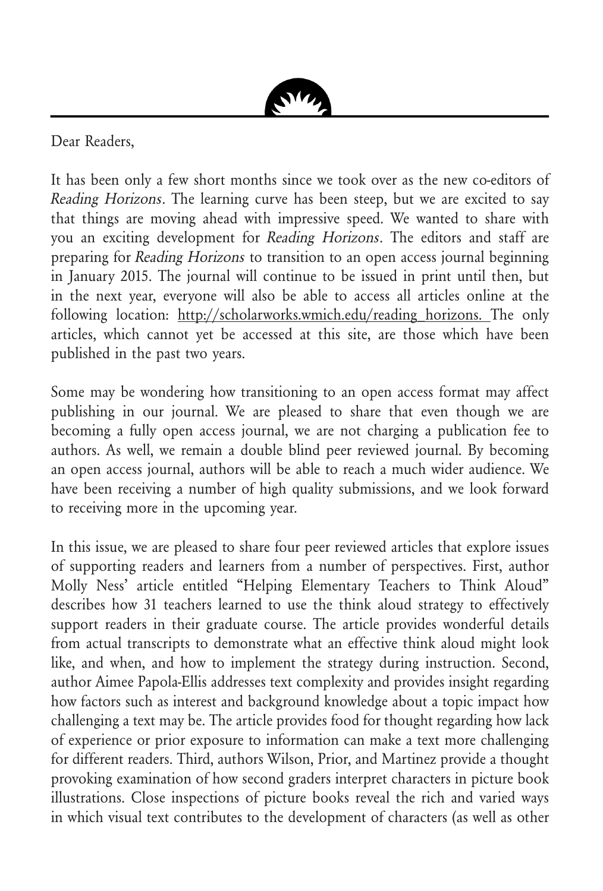

Dear Readers,

It has been only a few short months since we took over as the new co-editors of Reading Horizons. The learning curve has been steep, but we are excited to say that things are moving ahead with impressive speed. We wanted to share with you an exciting development for Reading Horizons. The editors and staff are preparing for Reading Horizons to transition to an open access journal beginning in January 2015. The journal will continue to be issued in print until then, but in the next year, everyone will also be able to access all articles online at the following location: http://scholarworks.wmich.edu/reading horizons. The only articles, which cannot yet be accessed at this site, are those which have been published in the past two years.

Some may be wondering how transitioning to an open access format may affect publishing in our journal. We are pleased to share that even though we are becoming a fully open access journal, we are not charging a publication fee to authors. As well, we remain a double blind peer reviewed journal. By becoming an open access journal, authors will be able to reach a much wider audience. We have been receiving a number of high quality submissions, and we look forward to receiving more in the upcoming year.

In this issue, we are pleased to share four peer reviewed articles that explore issues of supporting readers and learners from a number of perspectives. First, author Molly Ness' article entitled "Helping Elementary Teachers to Think Aloud" describes how 31 teachers learned to use the think aloud strategy to effectively support readers in their graduate course. The article provides wonderful details from actual transcripts to demonstrate what an effective think aloud might look like, and when, and how to implement the strategy during instruction. Second, author Aimee Papola-Ellis addresses text complexity and provides insight regarding how factors such as interest and background knowledge about a topic impact how challenging a text may be. The article provides food for thought regarding how lack of experience or prior exposure to information can make a text more challenging for different readers. Third, authors Wilson, Prior, and Martinez provide a thought provoking examination of how second graders interpret characters in picture book illustrations. Close inspections of picture books reveal the rich and varied ways in which visual text contributes to the development of characters (as well as other